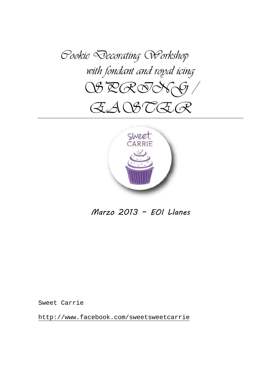



Marzo 2013 - EOI Llanes

Sweet Carrie

http://www.facebook.com/sweetsweetcarrie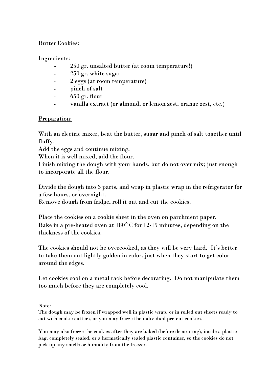## Butter Cookies:

#### Ingredients:

- 250 gr. unsalted butter (at room temperature!)
- 250 gr. white sugar
- 2 eggs (at room temperature)
- pinch of salt
- $-650$  gr. flour
- vanilla extract (or almond, or lemon zest, orange zest, etc.)

## Preparation:

With an electric mixer, beat the butter, sugar and pinch of salt together until fluffy.

Add the eggs and continue mixing.

When it is well mixed, add the flour.

Finish mixing the dough with your hands, but do not over mix; just enough to incorporate all the flour.

Divide the dough into 3 parts, and wrap in plastic wrap in the refrigerator for a few hours, or overnight.

Remove dough from fridge, roll it out and cut the cookies.

Place the cookies on a cookie sheet in the oven on parchment paper. Bake in a pre-heated oven at 180° C for 12-15 minutes, depending on the thickness of the cookies.

The cookies should not be overcooked, as they will be very hard. It's better to take them out lightly golden in color, just when they start to get color around the edges.

Let cookies cool on a metal rack before decorating. Do not manipulate them too much before they are completely cool.

#### Note:

The dough may be frozen if wrapped well in plastic wrap, or in rolled out sheets ready to cut with cookie cutters, or you may freeze the individual pre-cut cookies.

You may also freeze the cookies after they are baked (before decorating), inside a plastic bag, completely sealed, or a hermetically sealed plastic container, so the cookies do not pick up any smells or humidity from the freezer.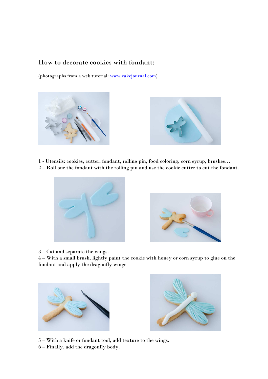# How to decorate cookies with fondant:

(photographs from a web tutorial: www.cakejournal.com)





1 - Utensils: cookies, cutter, fondant, rolling pin, food coloring, corn syrup, brushes…

2 – Roll our the fondant with the rolling pin and use the cookie cutter to cut the fondant.





3 – Cut and separate the wings.

4 – With a small brush, lightly paint the cookie with honey or corn syrup to glue on the fondant and apply the dragonfly wings





5 – With a knife or fondant tool, add texture to the wings.

6 – Finally, add the dragonfly body.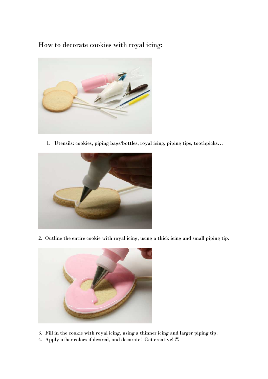How to decorate cookies with royal icing:



1. Utensils: cookies, piping bags/bottles, royal icing, piping tips, toothpicks…



2. Outline the entire cookie with royal icing, using a thick icing and small piping tip.



- 3. Fill in the cookie with royal icing, using a thinner icing and larger piping tip.
- 4. Apply other colors if desired, and decorate! Get creative!  $\odot$